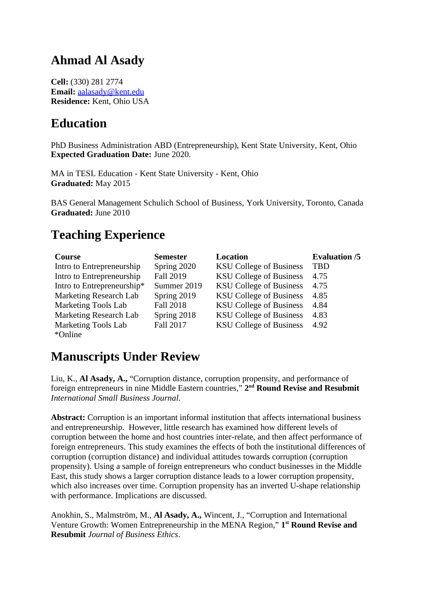## **Ahmad Al Asady**

**Cell:** (330) 281 2774 **Email:** a a lasad y @ k ent. edu **Residence:** Kent, Ohio USA

## **Education**

PhD Business Administration ABD (Entrepreneurship), Kent State University, Kent, Ohio **Expected Graduation Date:** June 2020.

MA in TESL Education - Kent State University - Kent, Ohio **Graduated:** May 2015

BAS General Management Schulich School of Business, York University, Toronto, Canada **Graduated:** June 2010

# **Teaching Experience**

| Course                     | <b>Semester</b>  | <b>Location</b>                | <b>Evaluation /5</b> |
|----------------------------|------------------|--------------------------------|----------------------|
| Intro to Entrepreneurship  | Spring 2020      | <b>KSU College of Business</b> | <b>TBD</b>           |
| Intro to Entrepreneurship  | <b>Fall 2019</b> | <b>KSU College of Business</b> | 4.75                 |
| Intro to Entrepreneurship* | Summer 2019      | <b>KSU College of Business</b> | 4.75                 |
| Marketing Research Lab     | Spring 2019      | <b>KSU College of Business</b> | 4.85                 |
| <b>Marketing Tools Lab</b> | <b>Fall 2018</b> | <b>KSU College of Business</b> | 4.84                 |
| Marketing Research Lab     | Spring 2018      | <b>KSU College of Business</b> | 4.83                 |
| <b>Marketing Tools Lab</b> | <b>Fall 2017</b> | <b>KSU College of Business</b> | 4.92                 |
| *Online                    |                  |                                |                      |

## **Manuscripts Under Review**

Liu, K., **Al Asady, A.,** "Corruption distance, corruption propensity, and performance of foreign entrepreneurs in nine Middle Eastern countries," **2 nd Round Revise and Resubmit** *International Small Business Journal.*

**Abstract:** Corruption is an important informal institution that affects international business and entrepreneurship. However, little research has examined how different levels of corruption between the home and host countries inter-relate, and then affect performance of foreign entrepreneurs. This study examines the effects of both the institutional differences of corruption (corruption distance) and individual attitudes towards corruption (corruption propensity). Using a sample of foreign entrepreneurs who conduct businesses in the Middle East, this study shows a larger corruption distance leads to a lower corruption propensity, which also increases over time. Corruption propensity has an inverted U-shape relationship with performance. Implications are discussed.

Anokhin, S., Malmström, M., **Al Asady, A.,** Wincent, J., "Corruption and International Venture Growth: Women Entrepreneurship in the MENA Region," **1 st Round Revise and Resubmit** *Journal of Business Ethics*.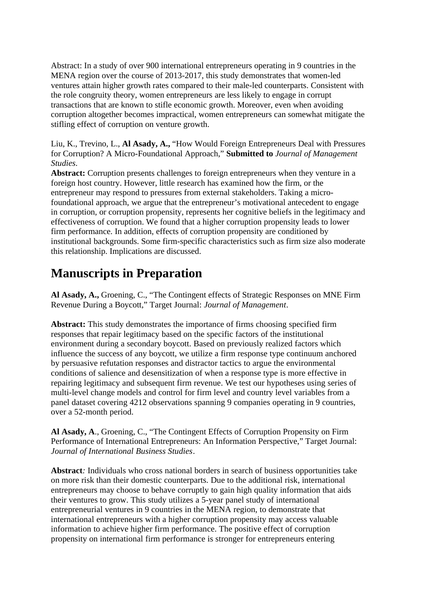Abstract: In a study of over 900 international entrepreneurs operating in 9 countries in the MENA region over the course of 2013-2017, this study demonstrates that women-led ventures attain higher growth rates compared to their male-led counterparts. Consistent with the role congruity theory, women entrepreneurs are less likely to engage in corrupt transactions that are known to stifle economic growth. Moreover, even when avoiding corruption altogether becomes impractical, women entrepreneurs can somewhat mitigate the stifling effect of corruption on venture growth.

Liu, K., Trevino, L., **Al Asady, A.,** "How Would Foreign Entrepreneurs Deal with Pressures for Corruption? A Micro-Foundational Approach," **Submitted to** *Journal of Management Studies.*

**Abstract:** Corruption presents challenges to foreign entrepreneurs when they venture in a foreign host country. However, little research has examined how the firm, or the entrepreneur may respond to pressures from external stakeholders. Taking a microfoundational approach, we argue that the entrepreneur's motivational antecedent to engage in corruption, or corruption propensity, represents her cognitive beliefs in the legitimacy and effectiveness of corruption. We found that a higher corruption propensity leads to lower firm performance. In addition, effects of corruption propensity are conditioned by institutional backgrounds. Some firm-specific characteristics such as firm size also moderate this relationship. Implications are discussed.

## **Manuscripts in Preparation**

**Al Asady, A.,** Groening, C., "The Contingent effects of Strategic Responses on MNE Firm Revenue During a Boycott," Target Journal: *Journal of Management*.

**Abstract:** This study demonstrates the importance of firms choosing specified firm responses that repair legitimacy based on the specific factors of the institutional environment during a secondary boycott. Based on previously realized factors which influence the success of any boycott, we utilize a firm response type continuum anchored by persuasive refutation responses and distractor tactics to argue the environmental conditions of salience and desensitization of when a response type is more effective in repairing legitimacy and subsequent firm revenue. We test our hypotheses using series of multi-level change models and control for firm level and country level variables from a panel dataset covering 4212 observations spanning 9 companies operating in 9 countries, over a 52-month period.

**Al Asady, A**., Groening, C., "The Contingent Effects of Corruption Propensity on Firm Performance of International Entrepreneurs: An Information Perspective," Target Journal: *Journal of International Business Studies*.

**Abstract***:* Individuals who cross national borders in search of business opportunities take on more risk than their domestic counterparts. Due to the additional risk, international entrepreneurs may choose to behave corruptly to gain high quality information that aids their ventures to grow. This study utilizes a 5-year panel study of international entrepreneurial ventures in 9 countries in the MENA region, to demonstrate that international entrepreneurs with a higher corruption propensity may access valuable information to achieve higher firm performance. The positive effect of corruption propensity on international firm performance is stronger for entrepreneurs entering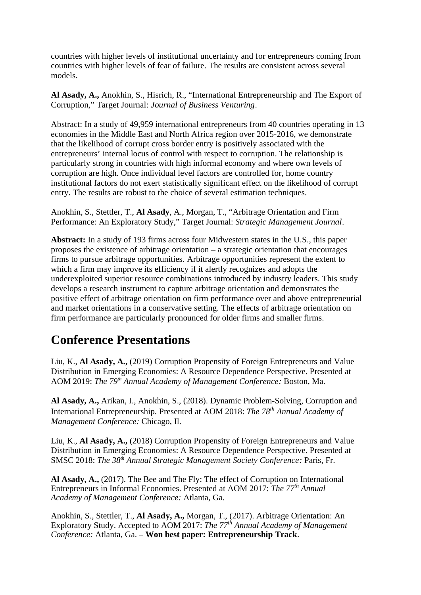countries with higher levels of institutional uncertainty and for entrepreneurs coming from countries with higher levels of fear of failure. The results are consistent across several models.

**Al Asady, A.,** Anokhin, S., Hisrich, R., "International Entrepreneurship and The Export of Corruption," Target Journal: *Journal of Business Venturing*.

Abstract: In a study of 49,959 international entrepreneurs from 40 countries operating in 13 economies in the Middle East and North Africa region over 2015-2016, we demonstrate that the likelihood of corrupt cross border entry is positively associated with the entrepreneurs' internal locus of control with respect to corruption. The relationship is particularly strong in countries with high informal economy and where own levels of corruption are high. Once individual level factors are controlled for, home country institutional factors do not exert statistically significant effect on the likelihood of corrupt entry. The results are robust to the choice of several estimation techniques.

Anokhin, S., Stettler, T., **Al Asady**, A., Morgan, T., "Arbitrage Orientation and Firm Performance: An Exploratory Study," Target Journal: *Strategic Management Journal*.

**Abstract:** In a study of 193 firms across four Midwestern states in the U.S., this paper proposes the existence of arbitrage orientation – a strategic orientation that encourages firms to pursue arbitrage opportunities. Arbitrage opportunities represent the extent to which a firm may improve its efficiency if it alertly recognizes and adopts the underexploited superior resource combinations introduced by industry leaders. This study develops a research instrument to capture arbitrage orientation and demonstrates the positive effect of arbitrage orientation on firm performance over and above entrepreneurial and market orientations in a conservative setting. The effects of arbitrage orientation on firm performance are particularly pronounced for older firms and smaller firms.

#### **Conference Presentations**

Liu, K., **Al Asady, A.,** (2019) Corruption Propensity of Foreign Entrepreneurs and Value Distribution in Emerging Economies: A Resource Dependence Perspective. Presented at AOM 2019: *The 79th Annual Academy of Management Conference:* Boston, Ma.

**Al Asady, A.,** Arikan, I., Anokhin, S., (2018). Dynamic Problem-Solving, Corruption and International Entrepreneurship. Presented at AOM 2018: *The 78th Annual Academy of Management Conference:* Chicago, Il.

Liu, K., **Al Asady, A.,** (2018) Corruption Propensity of Foreign Entrepreneurs and Value Distribution in Emerging Economies: A Resource Dependence Perspective. Presented at SMSC 2018: *The 38th Annual Strategic Management Society Conference:* Paris, Fr.

**Al Asady, A.,** (2017). The Bee and The Fly: The effect of Corruption on International Entrepreneurs in Informal Economies. Presented at AOM 2017: *The 77th Annual Academy of Management Conference:* Atlanta, Ga.

Anokhin, S., Stettler, T., **Al Asady, A.,** Morgan, T., (2017). Arbitrage Orientation: An Exploratory Study. Accepted to AOM 2017: *The 77th Annual Academy of Management Conference:* Atlanta, Ga. – **Won best paper: Entrepreneurship Track**.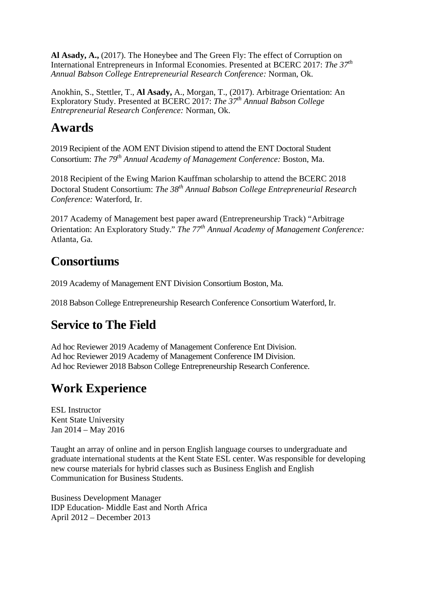**Al Asady, A.,** (2017). The Honeybee and The Green Fly: The effect of Corruption on International Entrepreneurs in Informal Economies. Presented at BCERC 2017: *The 37th Annual Babson College Entrepreneurial Research Conference:* Norman, Ok.

Anokhin, S., Stettler, T., **Al Asady,** A., Morgan, T., (2017). Arbitrage Orientation: An Exploratory Study. Presented at BCERC 2017: *The 37th Annual Babson College Entrepreneurial Research Conference:* Norman, Ok.

### **Awards**

2019 Recipient of the AOM ENT Division stipend to attend the ENT Doctoral Student Consortium: *The 79th Annual Academy of Management Conference:* Boston, Ma.

2018 Recipient of the Ewing Marion Kauffman scholarship to attend the BCERC 2018 Doctoral Student Consortium: *The 38th Annual Babson College Entrepreneurial Research Conference:* Waterford, Ir.

2017 Academy of Management best paper award (Entrepreneurship Track) "Arbitrage Orientation: An Exploratory Study." *The 77th Annual Academy of Management Conference:* Atlanta, Ga.

# **Consortiums**

2019 Academy of Management ENT Division Consortium Boston, Ma.

2018 Babson College Entrepreneurship Research Conference Consortium Waterford, Ir.

# **Service to The Field**

Ad hoc Reviewer 2019 Academy of Management Conference Ent Division. Ad hoc Reviewer 2019 Academy of Management Conference IM Division. Ad hoc Reviewer 2018 Babson College Entrepreneurship Research Conference.

# **Work Experience**

ESL Instructor Kent State University Jan 2014 – May 2016

Taught an array of online and in person English language courses to undergraduate and graduate international students at the Kent State ESL center. Was responsible for developing new course materials for hybrid classes such as Business English and English Communication for Business Students.

Business Development Manager IDP Education- Middle East and North Africa April 2012 – December 2013